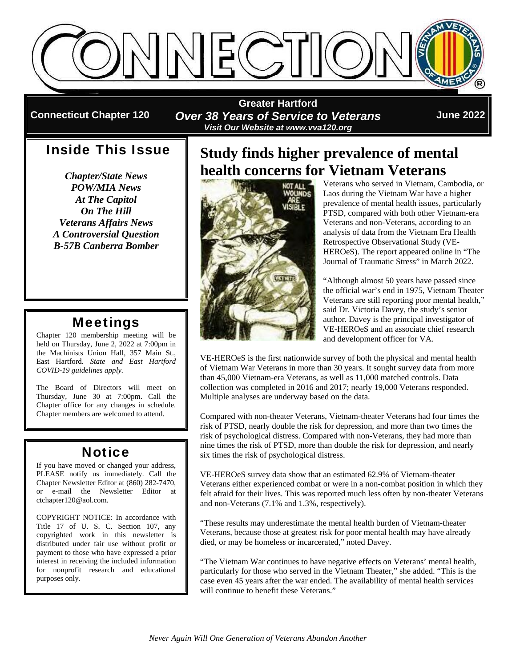

**Connecticut Chapter 120** 

**Greater Hartford**  *Over 38 Years of Service to Veterans Visit Our Website at www.vva120.org* 

**June 2022**

## Inside This Issue

*Chapter/State News POW/MIA News At The Capitol On The Hill Veterans Affairs News A Controversial Question B-57B Canberra Bomber* 

## Meetings

Chapter 120 membership meeting will be held on Thursday, June 2, 2022 at 7:00pm in the Machinists Union Hall, 357 Main St., East Hartford. *State and East Hartford COVID-19 guidelines apply.* 

The Board of Directors will meet on Thursday, June 30 at 7:00pm. Call the Chapter office for any changes in schedule. Chapter members are welcomed to attend.

## **Notice**

If you have moved or changed your address, PLEASE notify us immediately. Call the Chapter Newsletter Editor at (860) 282-7470, or e-mail the Newsletter Editor at ctchapter120@aol.com.

COPYRIGHT NOTICE: In accordance with Title 17 of U. S. C. Section 107, any copyrighted work in this newsletter is distributed under fair use without profit or payment to those who have expressed a prior interest in receiving the included information for nonprofit research and educational purposes only.

# **Study finds higher prevalence of mental health concerns for Vietnam Veterans**



Veterans who served in Vietnam, Cambodia, or Laos during the Vietnam War have a higher prevalence of mental health issues, particularly PTSD, compared with both other Vietnam-era Veterans and non-Veterans, according to an analysis of data from the Vietnam Era Health Retrospective Observational Study (VE-HEROeS). The report appeared online in "The Journal of Traumatic Stress" in March 2022.

"Although almost 50 years have passed since the official war's end in 1975, Vietnam Theater Veterans are still reporting poor mental health," said Dr. Victoria Davey, the study's senior author. Davey is the principal investigator of VE-HEROeS and an associate chief research and development officer for VA.

VE-HEROeS is the first nationwide survey of both the physical and mental health of Vietnam War Veterans in more than 30 years. It sought survey data from more than 45,000 Vietnam-era Veterans, as well as 11,000 matched controls. Data collection was completed in 2016 and 2017; nearly 19,000 Veterans responded. Multiple analyses are underway based on the data.

Compared with non-theater Veterans, Vietnam-theater Veterans had four times the risk of PTSD, nearly double the risk for depression, and more than two times the risk of psychological distress. Compared with non-Veterans, they had more than nine times the risk of PTSD, more than double the risk for depression, and nearly six times the risk of psychological distress.

VE-HEROeS survey data show that an estimated 62.9% of Vietnam-theater Veterans either experienced combat or were in a non-combat position in which they felt afraid for their lives. This was reported much less often by non-theater Veterans and non-Veterans (7.1% and 1.3%, respectively).

"These results may underestimate the mental health burden of Vietnam-theater Veterans, because those at greatest risk for poor mental health may have already died, or may be homeless or incarcerated," noted Davey.

"The Vietnam War continues to have negative effects on Veterans' mental health, particularly for those who served in the Vietnam Theater," she added. "This is the case even 45 years after the war ended. The availability of mental health services will continue to benefit these Veterans."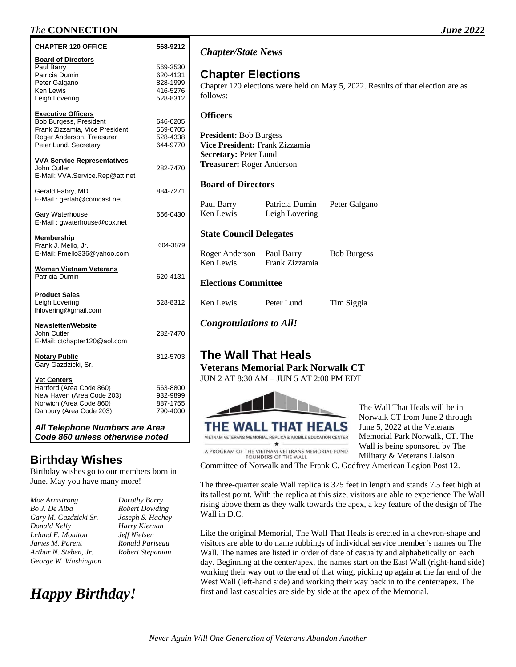| <b>CHAPTER 120 OFFICE</b>                                                                                                                   | 568-9212                                                 | <b>Chapt</b>                 |
|---------------------------------------------------------------------------------------------------------------------------------------------|----------------------------------------------------------|------------------------------|
| <b>Board of Directors</b><br>Paul Barry<br>Patricia Dumin<br>Peter Galgano<br>Ken Lewis<br>Leigh Lovering                                   | 569-3530<br>620-4131<br>828-1999<br>416-5276<br>528-8312 | Chap<br>Chapter<br>follows   |
| <b>Executive Officers</b><br>Bob Burgess, President<br>Frank Zizzamia, Vice President<br>Roger Anderson, Treasurer<br>Peter Lund, Secretary | 646-0205<br>569-0705<br>528-4338<br>644-9770             | Office<br>Preside<br>Vice Pr |
| <b>VVA Service Representatives</b><br>John Cutler<br>E-Mail: VVA.Service.Rep@att.net                                                        | 282-7470                                                 | <b>Secreta</b><br>Treasu     |
| Gerald Fabry, MD<br>E-Mail: gerfab@comcast.net                                                                                              | 884-7271                                                 | <b>Board</b><br>Paul Ba      |
| Gary Waterhouse<br>E-Mail: gwaterhouse@cox.net                                                                                              | 656-0430                                                 | Ken Le                       |
| <u>Membership</u><br>Frank J. Mello, Jr.<br>E-Mail: Fmello336@yahoo.com                                                                     | 604-3879                                                 | State O<br>Roger $A$         |
| <b>Women Vietnam Veterans</b><br>Patricia Dumin                                                                                             | 620-4131                                                 | Ken Le<br><b>Electic</b>     |
| <b>Product Sales</b><br>Leigh Lovering<br>Ihlovering@gmail.com                                                                              | 528-8312                                                 | Ken Le                       |
| <b>Newsletter/Website</b><br>John Cutler<br>E-Mail: ctchapter120@aol.com                                                                    | 282-7470                                                 | Congr                        |
| <b>Notary Public</b><br>Gary Gazdzicki, Sr.                                                                                                 | 812-5703                                                 | The '<br>Veter:              |
| <b>Vet Centers</b><br>Hartford (Area Code 860)<br>New Haven (Area Code 203)<br>Norwich (Area Code 860)<br>Danbury (Area Code 203)           | 563-8800<br>932-9899<br>887-1755<br>790-4000             | $JUN$ 2                      |

*All Telephone Numbers are Area Code 860 unless otherwise noted* 

## **Birthday Wishes**

Birthday wishes go to our members born in June. May you have many more!

| Moe Armstrong         |
|-----------------------|
| Bo J. De Alba         |
| Gary M. Gazdzicki Sr. |
| Donald Kelly          |
| Leland E. Moulton     |
| James M. Parent       |
| Arthur N. Steben, Jr. |
| George W. Washington  |

 $Dorothy$  Barry *Bo J. De Alba Robert Dowding*   $Joseph S.$  *Hachey Donald Kelly Harry Kiernan Leland E. Moulton Jeff Nielsen James M. Parent Ronald Pariseau Arthur N. Steben, Jr. Robert Stepanian* 

# *Happy Birthday!*

#### *Chapter/State News*

### **Chapter Elections**

r 120 elections were held on May 5, 2022. Results of that election are as follows:

#### **Officers**

**President:** Bob Burgess **Vice President:** Frank Zizzamia **Secretary:** Peter Lund **Trer:** Roger Anderson

#### **Board of Directors**

| Paul Barry | Patricia Dumin | Peter Galgano |
|------------|----------------|---------------|
| Ken Lewis  | Leigh Lovering |               |

#### **Council Delegates**

| Roger Anderson | Paul Barry     | <b>Bob Burgess</b> |
|----------------|----------------|--------------------|
| Ken Lewis      | Frank Zizzamia |                    |

#### **Example 1 EXEC 1 ELECTIONS**

wis Peter Lund Tim Siggia

*Congratulations to All!* 

## **The Wall That Heals**

**Veterans Memorial Park Norwalk CT**  AT 8:30 AM – JUN 5 AT 2:00 PM EDT



THE WALL THAT HEALS VIETNAM VETERANS MEMORIAL REPLICA & MOBILE EDUCATION CENTER A PROGRAM OF THE VIETNAM VETERANS MEMORIAL FUND FOUNDERS OF THE WALL

The Wall That Heals will be in Norwalk CT from June 2 through June 5, 2022 at the Veterans Memorial Park Norwalk, CT. The Wall is being sponsored by The Military & Veterans Liaison

Committee of Norwalk and The Frank C. Godfrey American Legion Post 12.

The three-quarter scale Wall replica is 375 feet in length and stands 7.5 feet high at its tallest point. With the replica at this size, visitors are able to experience The Wall rising above them as they walk towards the apex, a key feature of the design of The Wall in D.C.

Like the original Memorial, The Wall That Heals is erected in a chevron-shape and visitors are able to do name rubbings of individual service member's names on The Wall. The names are listed in order of date of casualty and alphabetically on each day. Beginning at the center/apex, the names start on the East Wall (right-hand side) working their way out to the end of that wing, picking up again at the far end of the West Wall (left-hand side) and working their way back in to the center/apex. The first and last casualties are side by side at the apex of the Memorial.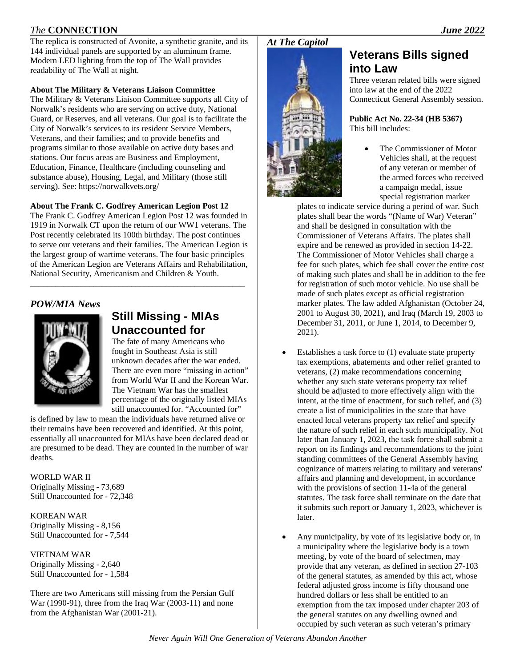The replica is constructed of Avonite, a synthetic granite, and its 144 individual panels are supported by an aluminum frame. Modern LED lighting from the top of The Wall provides readability of The Wall at night.

#### **About The Military & Veterans Liaison Committee**

The Military & Veterans Liaison Committee supports all City of Norwalk's residents who are serving on active duty, National Guard, or Reserves, and all veterans. Our goal is to facilitate the City of Norwalk's services to its resident Service Members, Veterans, and their families; and to provide benefits and programs similar to those available on active duty bases and stations. Our focus areas are Business and Employment, Education, Finance, Healthcare (including counseling and substance abuse), Housing, Legal, and Military (those still serving). See: https://norwalkvets.org/

#### **About The Frank C. Godfrey American Legion Post 12**

The Frank C. Godfrey American Legion Post 12 was founded in 1919 in Norwalk CT upon the return of our WW1 veterans. The Post recently celebrated its 100th birthday. The post continues to serve our veterans and their families. The American Legion is the largest group of wartime veterans. The four basic principles of the American Legion are Veterans Affairs and Rehabilitation, National Security, Americanism and Children & Youth.

\_\_\_\_\_\_\_\_\_\_\_\_\_\_\_\_\_\_\_\_\_\_\_\_\_\_\_\_\_\_\_\_\_\_\_\_\_\_\_\_\_\_\_\_\_\_\_\_\_\_\_

### *POW/MIA News*



## **Still Missing - MIAs Unaccounted for**

The fate of many Americans who fought in Southeast Asia is still unknown decades after the war ended. There are even more "missing in action" from World War II and the Korean War. The Vietnam War has the smallest percentage of the originally listed MIAs still unaccounted for. "Accounted for"

is defined by law to mean the individuals have returned alive or their remains have been recovered and identified. At this point, essentially all unaccounted for MIAs have been declared dead or are presumed to be dead. They are counted in the number of war deaths.

WORLD WAR II Originally Missing - 73,689 Still Unaccounted for - 72,348

KOREAN WAR Originally Missing - 8,156 Still Unaccounted for - 7,544

VIETNAM WAR Originally Missing - 2,640 Still Unaccounted for - 1,584

There are two Americans still missing from the Persian Gulf War (1990-91), three from the Iraq War (2003-11) and none from the Afghanistan War (2001-21).

#### *At The Capitol*



## **Veterans Bills signed into Law**

Three veteran related bills were signed into law at the end of the 2022 Connecticut General Assembly session.

**Public Act No. 22-34 (HB 5367)**  This bill includes:

> The Commissioner of Motor Vehicles shall, at the request of any veteran or member of the armed forces who received a campaign medal, issue special registration marker

plates to indicate service during a period of war. Such plates shall bear the words "(Name of War) Veteran" and shall be designed in consultation with the Commissioner of Veterans Affairs. The plates shall expire and be renewed as provided in section 14-22. The Commissioner of Motor Vehicles shall charge a fee for such plates, which fee shall cover the entire cost of making such plates and shall be in addition to the fee for registration of such motor vehicle. No use shall be made of such plates except as official registration marker plates. The law added Afghanistan (October 24, 2001 to August 30, 2021), and Iraq (March 19, 2003 to December 31, 2011, or June 1, 2014, to December 9, 2021).

- Establishes a task force to (1) evaluate state property tax exemptions, abatements and other relief granted to veterans, (2) make recommendations concerning whether any such state veterans property tax relief should be adjusted to more effectively align with the intent, at the time of enactment, for such relief, and (3) create a list of municipalities in the state that have enacted local veterans property tax relief and specify the nature of such relief in each such municipality. Not later than January 1, 2023, the task force shall submit a report on its findings and recommendations to the joint standing committees of the General Assembly having cognizance of matters relating to military and veterans' affairs and planning and development, in accordance with the provisions of section 11-4a of the general statutes. The task force shall terminate on the date that it submits such report or January 1, 2023, whichever is later.
- Any municipality, by vote of its legislative body or, in a municipality where the legislative body is a town meeting, by vote of the board of selectmen, may provide that any veteran, as defined in section 27-103 of the general statutes, as amended by this act, whose federal adjusted gross income is fifty thousand one hundred dollars or less shall be entitled to an exemption from the tax imposed under chapter 203 of the general statutes on any dwelling owned and occupied by such veteran as such veteran's primary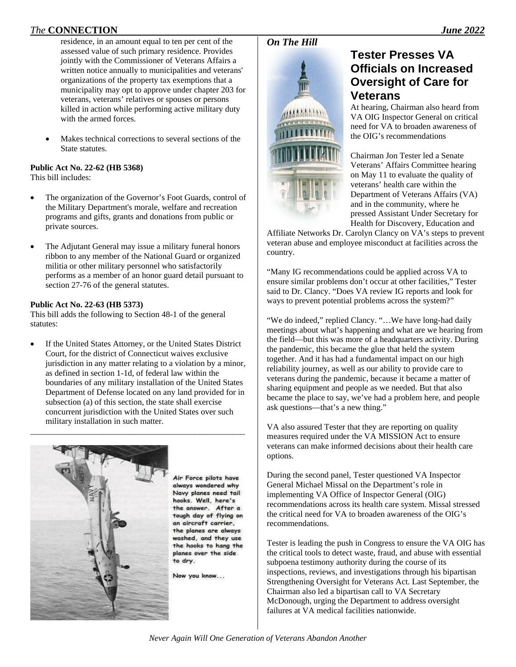Makes technical corrections to several sections of the State statutes.

#### **Public Act No. 22-62 (HB 5368)**  This bill includes:

- The organization of the Governor's Foot Guards, control of the Military Department's morale, welfare and recreation programs and gifts, grants and donations from public or private sources.
- The Adjutant General may issue a military funeral honors ribbon to any member of the National Guard or organized militia or other military personnel who satisfactorily performs as a member of an honor guard detail pursuant to section 27-76 of the general statutes.

#### **Public Act No. 22-63 (HB 5373)**

This bill adds the following to Section 48-1 of the general statutes:

 If the United States Attorney, or the United States District Court, for the district of Connecticut waives exclusive jurisdiction in any matter relating to a violation by a minor, as defined in section 1-1d, of federal law within the boundaries of any military installation of the United States Department of Defense located on any land provided for in subsection (a) of this section, the state shall exercise concurrent jurisdiction with the United States over such military installation in such matter.

\_\_\_\_\_\_\_\_\_\_\_\_\_\_\_\_\_\_\_\_\_\_\_\_\_\_\_\_\_\_\_\_\_\_\_\_\_\_\_\_\_\_\_\_\_\_\_\_\_\_\_



Air Force pilots have always wondered why Navy planes need tail hooks. Well, here's the answer. After a tough day of flying on an aircraft carrier. the planes are always washed, and they use the hooks to hang the planes over the side to dry.

Now you know...

#### *On The Hill*



## **Tester Presses VA Officials on Increased Oversight of Care for Veterans**

At hearing, Chairman also heard from VA OIG Inspector General on critical need for VA to broaden awareness of the OIG's recommendations

Chairman Jon Tester led a Senate Veterans' Affairs Committee hearing on May 11 to evaluate the quality of veterans' health care within the Department of Veterans Affairs (VA) and in the community, where he pressed Assistant Under Secretary for Health for Discovery, Education and

Affiliate Networks Dr. Carolyn Clancy on VA's steps to prevent veteran abuse and employee misconduct at facilities across the country.

"Many IG recommendations could be applied across VA to ensure similar problems don't occur at other facilities," Tester said to Dr. Clancy. "Does VA review IG reports and look for ways to prevent potential problems across the system?"

"We do indeed," replied Clancy. "…We have long-had daily meetings about what's happening and what are we hearing from the field—but this was more of a headquarters activity. During the pandemic, this became the glue that held the system together. And it has had a fundamental impact on our high reliability journey, as well as our ability to provide care to veterans during the pandemic, because it became a matter of sharing equipment and people as we needed. But that also became the place to say, we've had a problem here, and people ask questions—that's a new thing."

VA also assured Tester that they are reporting on quality measures required under the VA MISSION Act to ensure veterans can make informed decisions about their health care options.

During the second panel, Tester questioned VA Inspector General Michael Missal on the Department's role in implementing VA Office of Inspector General (OIG) recommendations across its health care system. Missal stressed the critical need for VA to broaden awareness of the OIG's recommendations.

Tester is leading the push in Congress to ensure the VA OIG has the critical tools to detect waste, fraud, and abuse with essential subpoena testimony authority during the course of its inspections, reviews, and investigations through his bipartisan Strengthening Oversight for Veterans Act. Last September, the Chairman also led a bipartisan call to VA Secretary McDonough, urging the Department to address oversight failures at VA medical facilities nationwide.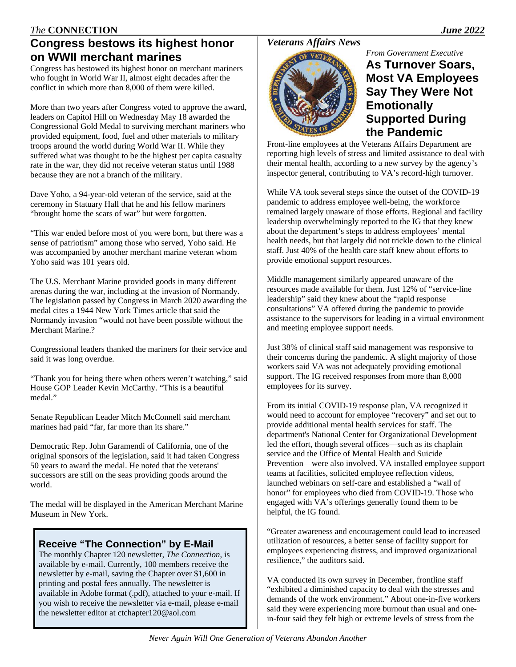## **Congress bestows its highest honor on WWII merchant marines**

Congress has bestowed its highest honor on merchant mariners who fought in World War II, almost eight decades after the conflict in which more than 8,000 of them were killed.

More than two years after Congress voted to approve the award, leaders on Capitol Hill on Wednesday May 18 awarded the Congressional Gold Medal to surviving merchant mariners who provided equipment, food, fuel and other materials to military troops around the world during World War II. While they suffered what was thought to be the highest per capita casualty rate in the war, they did not receive veteran status until 1988 because they are not a branch of the military.

Dave Yoho, a 94-year-old veteran of the service, said at the ceremony in Statuary Hall that he and his fellow mariners "brought home the scars of war" but were forgotten.

"This war ended before most of you were born, but there was a sense of patriotism" among those who served, Yoho said. He was accompanied by another merchant marine veteran whom Yoho said was 101 years old.

The U.S. Merchant Marine provided goods in many different arenas during the war, including at the invasion of Normandy. The legislation passed by Congress in March 2020 awarding the medal cites a 1944 New York Times article that said the Normandy invasion "would not have been possible without the Merchant Marine.?

Congressional leaders thanked the mariners for their service and said it was long overdue.

"Thank you for being there when others weren't watching," said House GOP Leader Kevin McCarthy. "This is a beautiful medal."

Senate Republican Leader Mitch McConnell said merchant marines had paid "far, far more than its share."

Democratic Rep. John Garamendi of California, one of the original sponsors of the legislation, said it had taken Congress 50 years to award the medal. He noted that the veterans' successors are still on the seas providing goods around the world.

The medal will be displayed in the American Merchant Marine Museum in New York.

### **Receive "The Connection" by E-Mail**

The monthly Chapter 120 newsletter, *The Connection*, is available by e-mail. Currently, 100 members receive the newsletter by e-mail, saving the Chapter over \$1,600 in printing and postal fees annually. The newsletter is available in Adobe format (.pdf), attached to your e-mail. If you wish to receive the newsletter via e-mail, please e-mail the newsletter editor at ctchapter120@aol.com

### *Veterans Affairs News*

#### *From Government Executive*



## **As Turnover Soars, Most VA Employees Say They Were Not Emotionally Supported During the Pandemic**

Front-line employees at the Veterans Affairs Department are reporting high levels of stress and limited assistance to deal with their mental health, according to a new survey by the agency's inspector general, contributing to VA's record-high turnover.

While VA took several steps since the outset of the COVID-19 pandemic to address employee well-being, the workforce remained largely unaware of those efforts. Regional and facility leadership overwhelmingly reported to the IG that they knew about the department's steps to address employees' mental health needs, but that largely did not trickle down to the clinical staff. Just 40% of the health care staff knew about efforts to provide emotional support resources.

Middle management similarly appeared unaware of the resources made available for them. Just 12% of "service-line leadership" said they knew about the "rapid response consultations" VA offered during the pandemic to provide assistance to the supervisors for leading in a virtual environment and meeting employee support needs.

Just 38% of clinical staff said management was responsive to their concerns during the pandemic. A slight majority of those workers said VA was not adequately providing emotional support. The IG received responses from more than 8,000 employees for its survey.

From its initial COVID-19 response plan, VA recognized it would need to account for employee "recovery" and set out to provide additional mental health services for staff. The department's National Center for Organizational Development led the effort, though several offices—such as its chaplain service and the Office of Mental Health and Suicide Prevention—were also involved. VA installed employee support teams at facilities, solicited employee reflection videos, launched webinars on self-care and established a "wall of honor" for employees who died from COVID-19. Those who engaged with VA's offerings generally found them to be helpful, the IG found.

"Greater awareness and encouragement could lead to increased utilization of resources, a better sense of facility support for employees experiencing distress, and improved organizational resilience," the auditors said.

VA conducted its own survey in December, frontline staff "exhibited a diminished capacity to deal with the stresses and demands of the work environment." About one-in-five workers said they were experiencing more burnout than usual and onein-four said they felt high or extreme levels of stress from the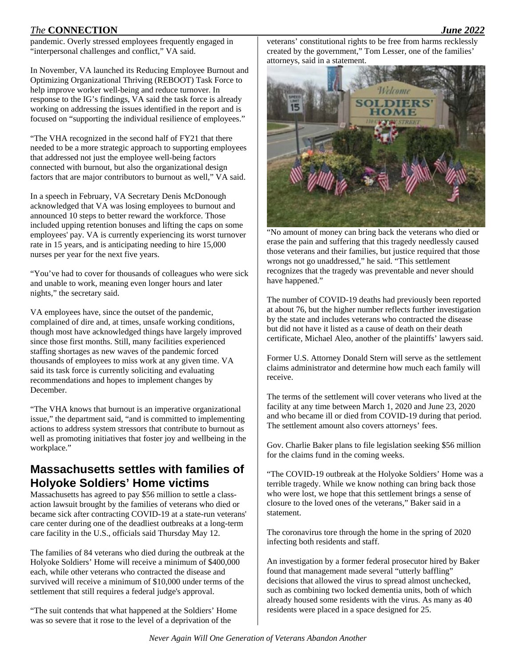pandemic. Overly stressed employees frequently engaged in "interpersonal challenges and conflict," VA said.

In November, VA launched its Reducing Employee Burnout and Optimizing Organizational Thriving (REBOOT) Task Force to help improve worker well-being and reduce turnover. In response to the IG's findings, VA said the task force is already working on addressing the issues identified in the report and is focused on "supporting the individual resilience of employees."

"The VHA recognized in the second half of FY21 that there needed to be a more strategic approach to supporting employees that addressed not just the employee well-being factors connected with burnout, but also the organizational design factors that are major contributors to burnout as well," VA said.

In a speech in February, VA Secretary Denis McDonough acknowledged that VA was losing employees to burnout and announced 10 steps to better reward the workforce. Those included upping retention bonuses and lifting the caps on some employees' pay. VA is currently experiencing its worst turnover rate in 15 years, and is anticipating needing to hire 15,000 nurses per year for the next five years.

"You've had to cover for thousands of colleagues who were sick and unable to work, meaning even longer hours and later nights," the secretary said.

VA employees have, since the outset of the pandemic, complained of dire and, at times, unsafe working conditions, though most have acknowledged things have largely improved since those first months. Still, many facilities experienced staffing shortages as new waves of the pandemic forced thousands of employees to miss work at any given time. VA said its task force is currently soliciting and evaluating recommendations and hopes to implement changes by December.

"The VHA knows that burnout is an imperative organizational issue," the department said, "and is committed to implementing actions to address system stressors that contribute to burnout as well as promoting initiatives that foster joy and wellbeing in the workplace."

### **Massachusetts settles with families of Holyoke Soldiers' Home victims**

Massachusetts has agreed to pay \$56 million to settle a classaction lawsuit brought by the families of veterans who died or became sick after contracting COVID-19 at a state-run veterans' care center during one of the deadliest outbreaks at a long-term care facility in the U.S., officials said Thursday May 12.

The families of 84 veterans who died during the outbreak at the Holyoke Soldiers' Home will receive a minimum of \$400,000 each, while other veterans who contracted the disease and survived will receive a minimum of \$10,000 under terms of the settlement that still requires a federal judge's approval.

"The suit contends that what happened at the Soldiers' Home was so severe that it rose to the level of a deprivation of the

veterans' constitutional rights to be free from harms recklessly created by the government," Tom Lesser, one of the families' attorneys, said in a statement.



"No amount of money can bring back the veterans who died or erase the pain and suffering that this tragedy needlessly caused those veterans and their families, but justice required that those wrongs not go unaddressed," he said. "This settlement recognizes that the tragedy was preventable and never should have happened."

The number of COVID-19 deaths had previously been reported at about 76, but the higher number reflects further investigation by the state and includes veterans who contracted the disease but did not have it listed as a cause of death on their death certificate, Michael Aleo, another of the plaintiffs' lawyers said.

Former U.S. Attorney Donald Stern will serve as the settlement claims administrator and determine how much each family will receive.

The terms of the settlement will cover veterans who lived at the facility at any time between March 1, 2020 and June 23, 2020 and who became ill or died from COVID-19 during that period. The settlement amount also covers attorneys' fees.

Gov. Charlie Baker plans to file legislation seeking \$56 million for the claims fund in the coming weeks.

"The COVID-19 outbreak at the Holyoke Soldiers' Home was a terrible tragedy. While we know nothing can bring back those who were lost, we hope that this settlement brings a sense of closure to the loved ones of the veterans," Baker said in a statement.

The coronavirus tore through the home in the spring of 2020 infecting both residents and staff.

An investigation by a former federal prosecutor hired by Baker found that management made several "utterly baffling" decisions that allowed the virus to spread almost unchecked, such as combining two locked dementia units, both of which already housed some residents with the virus. As many as 40 residents were placed in a space designed for 25.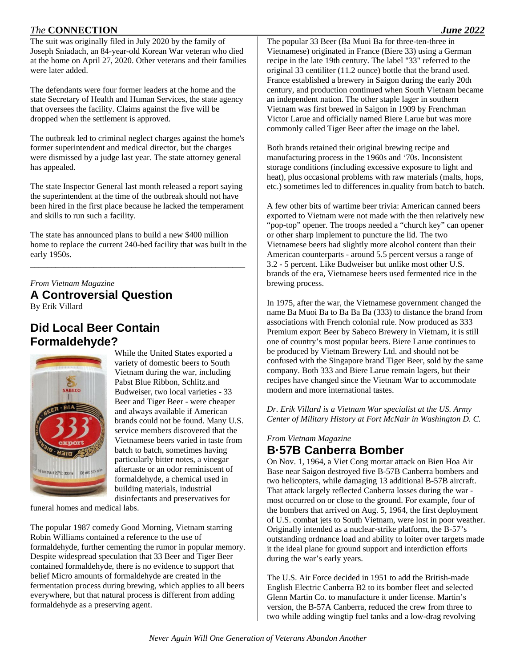The suit was originally filed in July 2020 by the family of Joseph Sniadach, an 84-year-old Korean War veteran who died at the home on April 27, 2020. Other veterans and their families were later added.

The defendants were four former leaders at the home and the state Secretary of Health and Human Services, the state agency that oversees the facility. Claims against the five will be dropped when the settlement is approved.

The outbreak led to criminal neglect charges against the home's former superintendent and medical director, but the charges were dismissed by a judge last year. The state attorney general has appealed.

The state Inspector General last month released a report saying the superintendent at the time of the outbreak should not have been hired in the first place because he lacked the temperament and skills to run such a facility.

The state has announced plans to build a new \$400 million home to replace the current 240-bed facility that was built in the early 1950s.

\_\_\_\_\_\_\_\_\_\_\_\_\_\_\_\_\_\_\_\_\_\_\_\_\_\_\_\_\_\_\_\_\_\_\_\_\_\_\_\_\_\_\_\_\_\_\_\_\_\_\_

*From Vietnam Magazine*  **A Controversial Question**  By Erik Villard

## **Did Local Beer Contain Formaldehyde?**



While the United States exported a variety of domestic beers to South Vietnam during the war, including Pabst Blue Ribbon, Schlitz.and Budweiser, two local varieties - 33 Beer and Tiger Beer - were cheaper and always available if American brands could not be found. Many U.S. service members discovered that the Vietnamese beers varied in taste from batch to batch, sometimes having particularly bitter notes, a vinegar aftertaste or an odor reminiscent of formaldehyde, a chemical used in building materials, industrial disinfectants and preservatives for

funeral homes and medical labs.

The popular 1987 comedy Good Morning, Vietnam starring Robin Williams contained a reference to the use of formaldehyde, further cementing the rumor in popular memory. Despite widespread speculation that 33 Beer and Tiger Beer contained formaldehyde, there is no evidence to support that belief Micro amounts of formaldehyde are created in the fermentation process during brewing, which applies to all beers everywhere, but that natural process is different from adding formaldehyde as a preserving agent.

The popular 33 Beer (Ba Muoi Ba for three-ten-three in Vietnamese) originated in France (Biere 33) using a German recipe in the late 19th century. The label "33" referred to the original 33 centiliter (11.2 ounce) bottle that the brand used. France established a brewery in Saigon during the early 20th century, and production continued when South Vietnam became an independent nation. The other staple lager in southern Vietnam was first brewed in Saigon in 1909 by Frenchman Victor Larue and officially named Biere Larue but was more commonly called Tiger Beer after the image on the label.

Both brands retained their original brewing recipe and manufacturing process in the 1960s and '70s. Inconsistent storage conditions (including excessive exposure to light and heat), plus occasional problems with raw materials (malts, hops, etc.) sometimes led to differences in.quality from batch to batch.

A few other bits of wartime beer trivia: American canned beers exported to Vietnam were not made with the then relatively new "pop-top" opener. The troops needed a "church key" can opener or other sharp implement to puncture the lid. The two Vietnamese beers had slightly more alcohol content than their American counterparts - around 5.5 percent versus a range of 3.2 - 5 percent. Like Budweiser but unlike most other U.S. brands of the era, Vietnamese beers used fermented rice in the brewing process.

In 1975, after the war, the Vietnamese government changed the name Ba Muoi Ba to Ba Ba Ba (333) to distance the brand from associations with French colonial rule. Now produced as 333 Premium export Beer by Sabeco Brewery in Vietnam, it is still one of country's most popular beers. Biere Larue continues to be produced by Vietnam Brewery Ltd. and should not be confused with the Singapore brand Tiger Beer, sold by the same company. Both 333 and Biere Larue remain lagers, but their recipes have changed since the Vietnam War to accommodate modern and more international tastes.

*Dr. Erik Villard is a Vietnam War specialist at the US. Army Center of Military History at Fort McNair in Washington D. C.* 

*From Vietnam Magazine* 

## **B·57B Canberra Bomber**

On Nov. 1, 1964, a Viet Cong mortar attack on Bien Hoa Air Base near Saigon destroyed five B-57B Canberra bombers and two helicopters, while damaging 13 additional B-57B aircraft. That attack largely reflected Canberra losses during the war most occurred on or close to the ground. For example, four of the bombers that arrived on Aug. 5, 1964, the first deployment of U.S. combat jets to South Vietnam, were lost in poor weather. Originally intended as a nuclear-strike platform, the B-57's outstanding ordnance load and ability to loiter over targets made it the ideal plane for ground support and interdiction efforts during the war's early years.

The U.S. Air Force decided in 1951 to add the British-made English Electric Canberra B2 to its bomber fleet and selected Glenn Martin Co. to manufacture it under license. Martin's version, the B-57A Canberra, reduced the crew from three to two while adding wingtip fuel tanks and a low-drag revolving